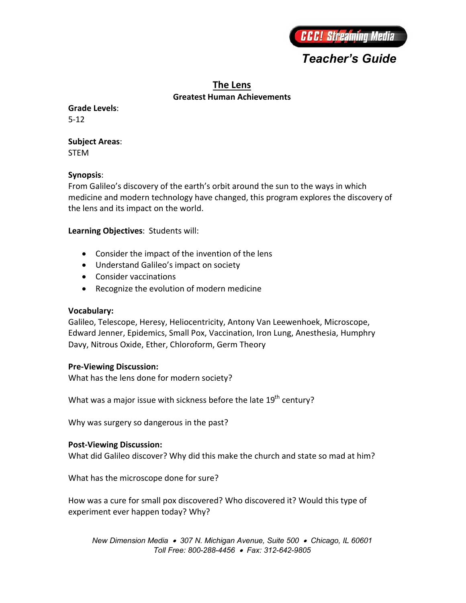# *Teacher's Guide*

# **The Lens Greatest Human Achievements**

**Grade Levels**: 5-12

#### **Subject Areas**: STEM

**Synopsis**: From Galileo's discovery of the earth's orbit around the sun to the ways in which medicine and modern technology have changed, this program explores the discovery of the lens and its impact on the world.

## **Learning Objectives**: Students will:

- Consider the impact of the invention of the lens
- Understand Galileo's impact on society
- Consider vaccinations
- Recognize the evolution of modern medicine

## **Vocabulary:**

Galileo, Telescope, Heresy, Heliocentricity, Antony Van Leewenhoek, Microscope, Edward Jenner, Epidemics, Small Pox, Vaccination, Iron Lung, Anesthesia, Humphry Davy, Nitrous Oxide, Ether, Chloroform, Germ Theory

## **Pre-Viewing Discussion:**

What has the lens done for modern society?

What was a major issue with sickness before the late  $19^{th}$  century?

Why was surgery so dangerous in the past?

## **Post-Viewing Discussion:**

What did Galileo discover? Why did this make the church and state so mad at him?

What has the microscope done for sure?

How was a cure for small pox discovered? Who discovered it? Would this type of experiment ever happen today? Why?

*New Dimension Media 307 N. Michigan Avenue, Suite 500 Chicago, IL 60601 Toll Free: 800-288-4456 Fax: 312-642-9805*